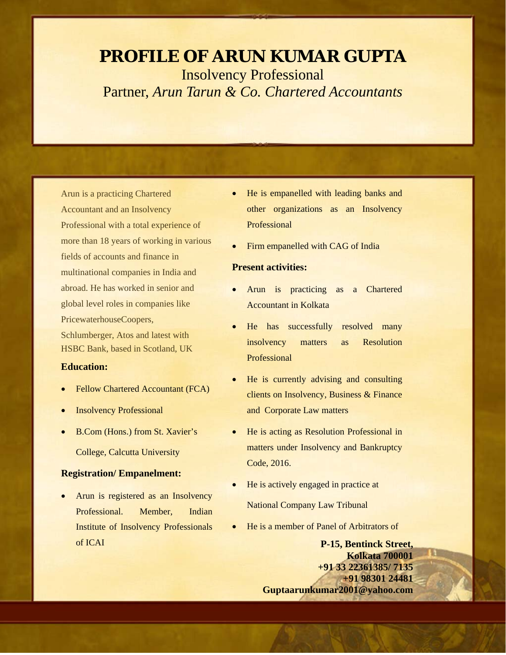# **PROFILE OF ARUN KUMAR GUPTA** Insolvency Professional Partner, *Arun Tarun & Co. Chartered Accountants*

Arun is a practicing Chartered Accountant and an Insolvency Professional with a total experience of more than 18 years of working in various fields of accounts and finance in multinational companies in India and abroad. He has worked in senior and global level roles in companies like PricewaterhouseCoopers, Schlumberger, Atos and latest with HSBC Bank, based in Scotland, UK

#### **Education:**

- Fellow Chartered Accountant (FCA)
- **Insolvency Professional**
- B.Com (Hons.) from St. Xavier's

College, Calcutta University

### **Registration/ Empanelment:**

Arun is registered as an Insolvency Professional Member Indian Institute of Insolvency Professionals of ICAI

- He is empanelled with leading banks and other organizations as an Insolvency Professional
- Firm empanelled with CAG of India

#### **Present activities:**

- Arun is practicing as a Chartered Accountant in Kolkata
- He has successfully resolved many insolvency matters as Resolution Professional
- He is currently advising and consulting clients on Insolvency, Business & Finance and Corporate Law matters
- He is acting as Resolution Professional in matters under Insolvency and Bankruptcy Code, 2016.
- He is actively engaged in practice at

National Company Law Tribunal

• He is a member of Panel of Arbitrators of

**P-15, Bentinck Street, Kolkata 700001 +91 33 22361385/ 7135 +91 98301 24481 Guptaarunkumar2001@yahoo.com**